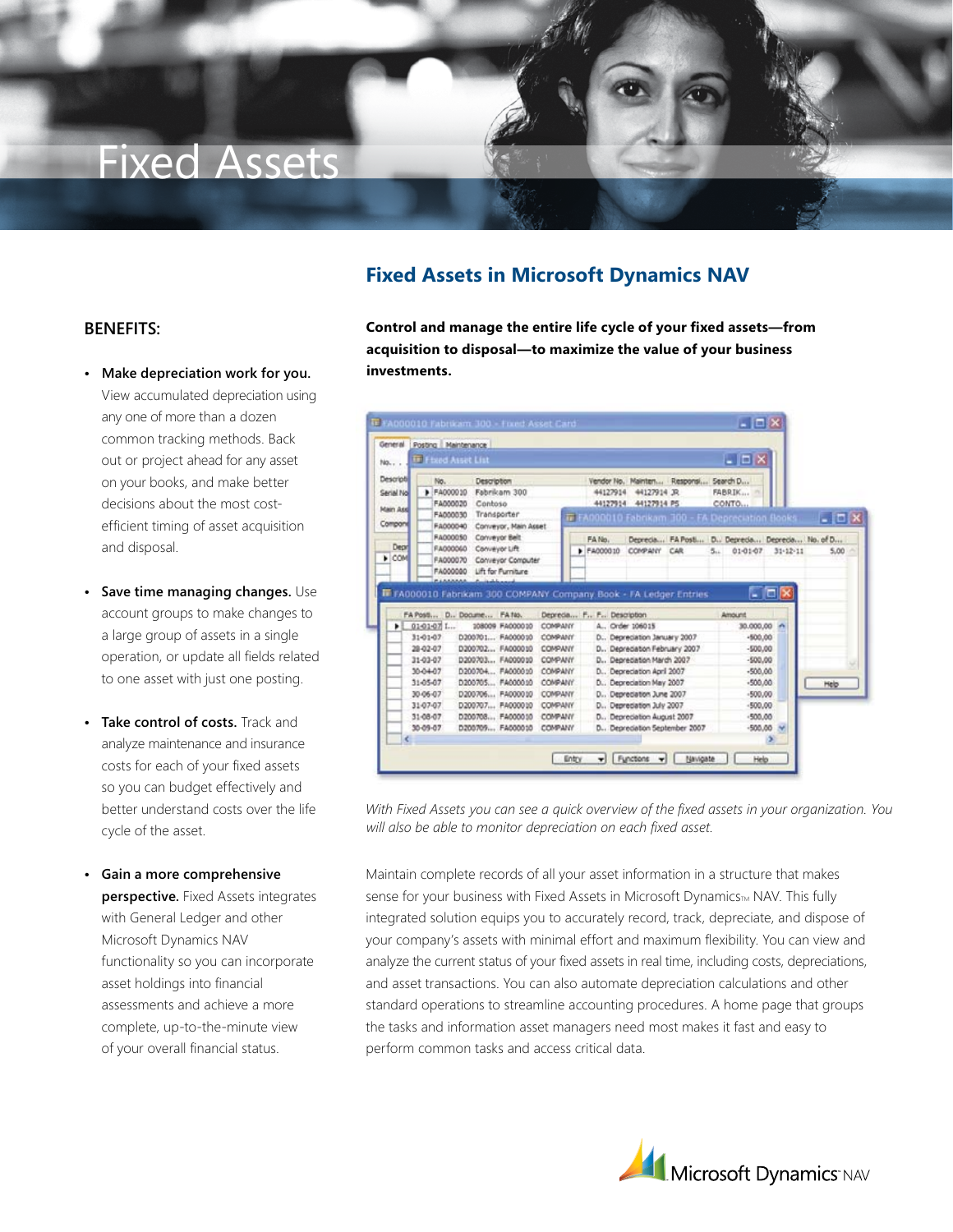# Fixed Assets

## **Fixed Assets in Microsoft Dynamics NAV**

#### **Benefits:**

- **• Make depreciation work for you.** View accumulated depreciation using any one of more than a dozen common tracking methods. Back out or project ahead for any asset on your books, and make better decisions about the most costefficient timing of asset acquisition and disposal.
- **• Save time managing changes.** Use account groups to make changes to a large group of assets in a single operation, or update all fields related to one asset with just one posting.
- **• Take control of costs.** Track and analyze maintenance and insurance costs for each of your fixed assets so you can budget effectively and better understand costs over the life cycle of the asset.
- **• Gain a more comprehensive perspective.** Fixed Assets integrates with General Ledger and other Microsoft Dynamics NAV functionality so you can incorporate asset holdings into financial assessments and achieve a more complete, up-to-the-minute view of your overall financial status.

**Control and manage the entire life cycle of your fixed assets—from acquisition to disposal—to maximize the value of your business investments.**

| No                                                      | <b>IF Fixed Asset List</b>                                                    |                                                                                                                            |                                                                                 |                                            |                                                                                                                                                  |     |     | $ \Box$ $\times$                                              |                                |                                                                   |
|---------------------------------------------------------|-------------------------------------------------------------------------------|----------------------------------------------------------------------------------------------------------------------------|---------------------------------------------------------------------------------|--------------------------------------------|--------------------------------------------------------------------------------------------------------------------------------------------------|-----|-----|---------------------------------------------------------------|--------------------------------|-------------------------------------------------------------------|
| Descripti<br>Serial Nol<br>Main Asd<br>Compone<br>Depri | No.<br>P FA000010<br>FA000020<br>FA000030<br>FA000040<br>FA000050<br>FA000060 | Description<br>Fabrikam 300<br>Contoso<br>Transporter<br>Conveyor, Main Asset<br>Conveyor Belt<br>Conveyor Lift            |                                                                                 | 44127914<br>44127914<br>FA No.<br>F4000010 | Vendor No. Mainten Responsi Search D<br>44127914 JR<br>44127914 PS<br>ir FA000010 Fabrikam 300 - FA Depreciation Books<br>COMPANY                | CAR | 5.1 | FABRIK<br>CONTO<br>01-01-07                                   | $31 - 12 - 11$                 | $-10x$<br>Deprecia FA Post D., Deprecia Deprecia No. of D<br>5.00 |
|                                                         |                                                                               |                                                                                                                            |                                                                                 |                                            |                                                                                                                                                  |     |     |                                                               |                                |                                                                   |
|                                                         |                                                                               | <b>PLANAAA</b> A salvand<br>F FA000010 Fabrikam 300 COMPANY Company Book - FA Ledger Entries<br>FA Post  D., Docume FA No. |                                                                                 |                                            | Deprecia F., F., Description                                                                                                                     |     |     | Amount                                                        | $\blacksquare$ $\Box$ $\times$ |                                                                   |
| ٠                                                       | 01-01-07 L<br>31-01-07<br>28-02-07<br>31-03-07<br>10-04-07                    | 108009 FA000010<br>D200701 FA000010<br>D200702 FA000010<br>D200703 FA000010<br>D200704 F4000010                            | <b>COMPANY</b><br><b>COMPANY</b><br>COMPANY<br><b>COMPANY</b><br><b>CONPANY</b> |                                            | A., Order 106015<br>D., Depreciation January 2007<br>D., Depreciation February 2007<br>D., Depreciation March 2007<br>D., Depredation April 2007 |     |     | 30.000,00<br>$-500.00$<br>$-500.00$<br>$-500.00$<br>$-500.00$ | <b>Ster</b>                    |                                                                   |
|                                                         | 31-05-07<br>30-06-07<br>31-07-07<br>31-08-07                                  | D200705 FA000010<br>D200706 FA000010<br>D200707 FA000010<br>D200708 FA000010                                               | COMPANY<br><b>COMPANY</b><br><b>COMPANY</b><br><b>COMPANY</b>                   |                                            | D., Depreciation May 2007<br>D., Depredation June 2007<br>D., Depredation July 2007<br>D., Depreciation August 2007                              |     |     | $-500.00$<br>$-500.00$<br>$-500,00$<br>$-500,00$              |                                | Help                                                              |

*With Fixed Assets you can see a quick overview of the fixed assets in your organization. You will also be able to monitor depreciation on each fixed asset.*

Maintain complete records of all your asset information in a structure that makes sense for your business with Fixed Assets in Microsoft DynamicsTM NAV. This fully integrated solution equips you to accurately record, track, depreciate, and dispose of your company's assets with minimal effort and maximum flexibility. You can view and analyze the current status of your fixed assets in real time, including costs, depreciations, and asset transactions. You can also automate depreciation calculations and other standard operations to streamline accounting procedures. A home page that groups the tasks and information asset managers need most makes it fast and easy to perform common tasks and access critical data.